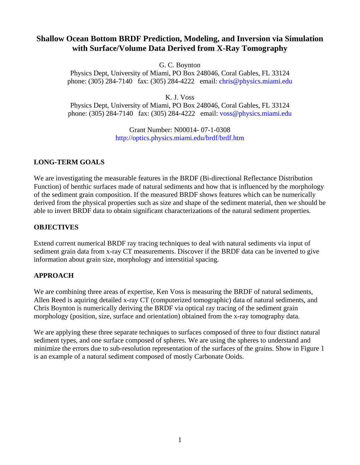# **Shallow Ocean Bottom BRDF Prediction, Modeling, and Inversion via Simulation with Surface/Volume Data Derived from X-Ray Tomography**

G. C. Boynton

Physics Dept, University of Miami, PO Box 248046, Coral Gables, FL 33124 phone: (305) 284-7140 fax: (305) 284-4222 email: [chris@physics.miami.edu](mailto:chris@physics.miami.edu)

K. J. Voss

Physics Dept, University of Miami, PO Box 248046, Coral Gables, FL 33124 phone: (305) 284-7140 fax: (305) 284-4222 email: [voss@physics.miami.edu](mailto:voss@physics.miami.edu)

> Grant Number: N00014- 07-1-0308 <http://optics.physics.miami.edu/brdf/brdf.htm>

# **LONG-TERM GOALS**

We are investigating the measurable features in the BRDF (Bi-directional Reflectance Distribution Function) of benthic surfaces made of natural sediments and how that is influenced by the morphology of the sediment grain composition. If the measured BRDF shows features which can be numerically derived from the physical properties such as size and shape of the sediment material, then we should be able to invert BRDF data to obtain significant characterizations of the natural sediment properties.

#### **OBJECTIVES**

Extend current numerical BRDF ray tracing techniques to deal with natural sediments via input of sediment grain data from x-ray CT measurements. Discover if the BRDF data can be inverted to give information about grain size, morphology and interstitial spacing.

# **APPROACH**

We are combining three areas of expertise, Ken Voss is measuring the BRDF of natural sediments, Allen Reed is aquiring detailed x-ray CT (computerized tomographic) data of natural sediments, and Chris Boynton is numerically deriving the BRDF via optical ray tracing of the sediment grain morphology (position, size, surface and orientation) obtained from the x-ray tomography data.

We are applying these three separate techniques to surfaces composed of three to four distinct natural sediment types, and one surface composed of spheres. We are using the spheres to understand and minimize the errors due to sub-resolution representation of the surfaces of the grains. Show in Figure 1 is an example of a natural sediment composed of mostly Carbonate Ooids.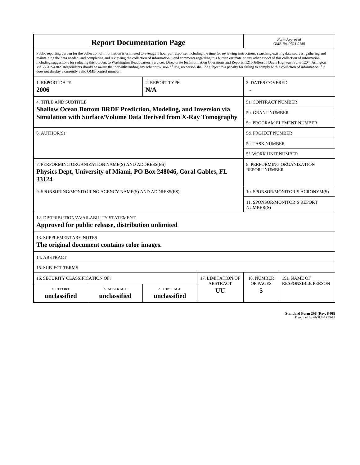| <b>Report Documentation Page</b>                                                                                                                                                                                                                                                                                                                                                                                                                                                                                                                                                                                                                                                                                                                                                                                                                                   |                             |                              |                       |                         | Form Approved<br>OMB No. 0704-0188                 |  |  |
|--------------------------------------------------------------------------------------------------------------------------------------------------------------------------------------------------------------------------------------------------------------------------------------------------------------------------------------------------------------------------------------------------------------------------------------------------------------------------------------------------------------------------------------------------------------------------------------------------------------------------------------------------------------------------------------------------------------------------------------------------------------------------------------------------------------------------------------------------------------------|-----------------------------|------------------------------|-----------------------|-------------------------|----------------------------------------------------|--|--|
| Public reporting burden for the collection of information is estimated to average 1 hour per response, including the time for reviewing instructions, searching existing data sources, gathering and<br>maintaining the data needed, and completing and reviewing the collection of information. Send comments regarding this burden estimate or any other aspect of this collection of information,<br>including suggestions for reducing this burden, to Washington Headquarters Services, Directorate for Information Operations and Reports, 1215 Jefferson Davis Highway, Suite 1204, Arlington<br>VA 22202-4302. Respondents should be aware that notwithstanding any other provision of law, no person shall be subject to a penalty for failing to comply with a collection of information if it<br>does not display a currently valid OMB control number. |                             |                              |                       |                         |                                                    |  |  |
| <b>1. REPORT DATE</b><br>2006                                                                                                                                                                                                                                                                                                                                                                                                                                                                                                                                                                                                                                                                                                                                                                                                                                      |                             | 2. REPORT TYPE<br>N/A        |                       | <b>3. DATES COVERED</b> |                                                    |  |  |
| <b>4. TITLE AND SUBTITLE</b>                                                                                                                                                                                                                                                                                                                                                                                                                                                                                                                                                                                                                                                                                                                                                                                                                                       |                             |                              |                       |                         | 5a. CONTRACT NUMBER                                |  |  |
| Shallow Ocean Bottom BRDF Prediction, Modeling, and Inversion via<br>Simulation with Surface/Volume Data Derived from X-Ray Tomography                                                                                                                                                                                                                                                                                                                                                                                                                                                                                                                                                                                                                                                                                                                             |                             |                              |                       |                         | <b>5b. GRANT NUMBER</b>                            |  |  |
|                                                                                                                                                                                                                                                                                                                                                                                                                                                                                                                                                                                                                                                                                                                                                                                                                                                                    |                             |                              |                       |                         | 5c. PROGRAM ELEMENT NUMBER                         |  |  |
| 6. AUTHOR(S)                                                                                                                                                                                                                                                                                                                                                                                                                                                                                                                                                                                                                                                                                                                                                                                                                                                       |                             |                              |                       |                         | <b>5d. PROJECT NUMBER</b>                          |  |  |
|                                                                                                                                                                                                                                                                                                                                                                                                                                                                                                                                                                                                                                                                                                                                                                                                                                                                    |                             |                              |                       |                         | 5e. TASK NUMBER                                    |  |  |
|                                                                                                                                                                                                                                                                                                                                                                                                                                                                                                                                                                                                                                                                                                                                                                                                                                                                    |                             |                              |                       |                         | 5f. WORK UNIT NUMBER                               |  |  |
| 7. PERFORMING ORGANIZATION NAME(S) AND ADDRESS(ES)<br>Physics Dept, University of Miami, PO Box 248046, Coral Gables, FL<br>33124                                                                                                                                                                                                                                                                                                                                                                                                                                                                                                                                                                                                                                                                                                                                  |                             |                              |                       |                         | 8. PERFORMING ORGANIZATION<br><b>REPORT NUMBER</b> |  |  |
| 9. SPONSORING/MONITORING AGENCY NAME(S) AND ADDRESS(ES)                                                                                                                                                                                                                                                                                                                                                                                                                                                                                                                                                                                                                                                                                                                                                                                                            |                             |                              |                       |                         | 10. SPONSOR/MONITOR'S ACRONYM(S)                   |  |  |
|                                                                                                                                                                                                                                                                                                                                                                                                                                                                                                                                                                                                                                                                                                                                                                                                                                                                    |                             |                              |                       |                         | 11. SPONSOR/MONITOR'S REPORT<br>NUMBER(S)          |  |  |
| 12. DISTRIBUTION/AVAILABILITY STATEMENT<br>Approved for public release, distribution unlimited                                                                                                                                                                                                                                                                                                                                                                                                                                                                                                                                                                                                                                                                                                                                                                     |                             |                              |                       |                         |                                                    |  |  |
| <b>13. SUPPLEMENTARY NOTES</b><br>The original document contains color images.                                                                                                                                                                                                                                                                                                                                                                                                                                                                                                                                                                                                                                                                                                                                                                                     |                             |                              |                       |                         |                                                    |  |  |
| 14. ABSTRACT                                                                                                                                                                                                                                                                                                                                                                                                                                                                                                                                                                                                                                                                                                                                                                                                                                                       |                             |                              |                       |                         |                                                    |  |  |
| <b>15. SUBJECT TERMS</b>                                                                                                                                                                                                                                                                                                                                                                                                                                                                                                                                                                                                                                                                                                                                                                                                                                           |                             |                              |                       |                         |                                                    |  |  |
| 16. SECURITY CLASSIFICATION OF:                                                                                                                                                                                                                                                                                                                                                                                                                                                                                                                                                                                                                                                                                                                                                                                                                                    |                             | <b>17. LIMITATION OF</b>     | 18. NUMBER            | 19a. NAME OF            |                                                    |  |  |
| a. REPORT<br>unclassified                                                                                                                                                                                                                                                                                                                                                                                                                                                                                                                                                                                                                                                                                                                                                                                                                                          | b. ABSTRACT<br>unclassified | c. THIS PAGE<br>unclassified | <b>ABSTRACT</b><br>UU | OF PAGES<br>5           | <b>RESPONSIBLE PERSON</b>                          |  |  |

| <b>Standard Form 298 (Rev. 8-98)</b> |                               |  |  |
|--------------------------------------|-------------------------------|--|--|
|                                      | Prescribed by ANSI Std Z39-18 |  |  |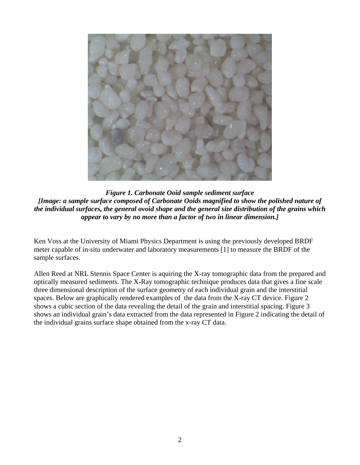

*Figure 1. Carbonate Ooid sample sediment surface [Image: a sample surface composed of Carbonate Ooids magnified to show the polished nature of the individual surfaces, the general ovoid shape and the general size distribution of the grains which appear to vary by no more than a factor of two in linear dimension.]* 

Ken Voss at the University of Miami Physics Department is using the previously developed BRDF meter capable of in-situ underwater and laboratory measurements [1] to measure the BRDF of the sample surfaces.

Allen Reed at NRL Stennis Space Center is aquiring the X-ray tomographic data from the prepared and optically measured sediments. The X-Ray tomographic technique produces data that gives a fine scale three dimensional description of the surface geometry of each individual grain and the interstitial spaces. Below are graphically rendered examples of the data from the X-ray CT device. Figure 2 shows a cubic section of the data revealing the detail of the grain and interstitial spacing. Figure 3 shows an individual grain's data extracted from the data represented in Figure 2 indicating the detail of the individual grains surface shape obtained from the x-ray CT data.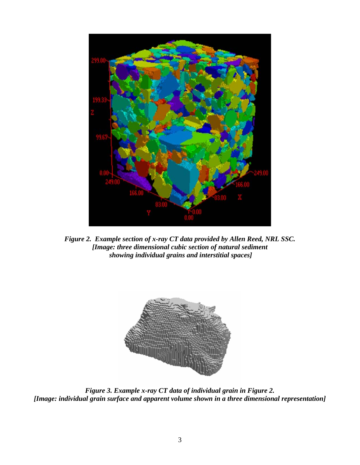

*Figure 2. Example section of x-ray CT data provided by Allen Reed, NRL SSC. [Image: three dimensional cubic section of natural sediment showing individual grains and interstitial spaces]* 



*Figure 3. Example x-ray CT data of individual grain in Figure 2. [Image: individual grain surface and apparent volume shown in a three dimensional representation]*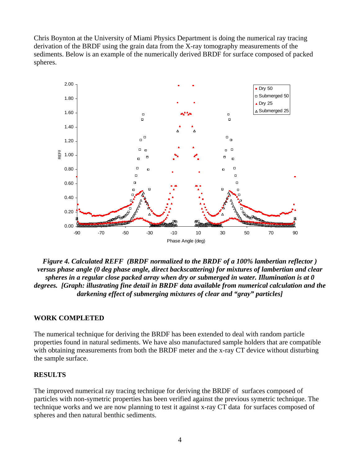Chris Boynton at the University of Miami Physics Department is doing the numerical ray tracing derivation of the BRDF using the grain data from the X-ray tomography measurements of the sediments. Below is an example of the numerically derived BRDF for surface composed of packed spheres.



*Figure 4. Calculated REFF (BRDF normalized to the BRDF of a 100% lambertian reflector ) versus phase angle (0 deg phase angle, direct backscattering) for mixtures of lambertian and clear spheres in a regular close packed array when dry or submerged in water. Illumination is at 0 degrees. [Graph: illustrating fine detail in BRDF data available from numerical calculation and the darkening effect of submerging mixtures of clear and "gray" particles]* 

#### **WORK COMPLETED**

The numerical technique for deriving the BRDF has been extended to deal with random particle properties found in natural sediments. We have also manufactured sample holders that are compatible with obtaining measurements from both the BRDF meter and the x-ray CT device without disturbing the sample surface.

# **RESULTS**

The improved numerical ray tracing technique for deriving the BRDF of surfaces composed of particles with non-symetric properties has been verified against the previous symetric technique. The technique works and we are now planning to test it against x-ray CT data for surfaces composed of spheres and then natural benthic sediments.